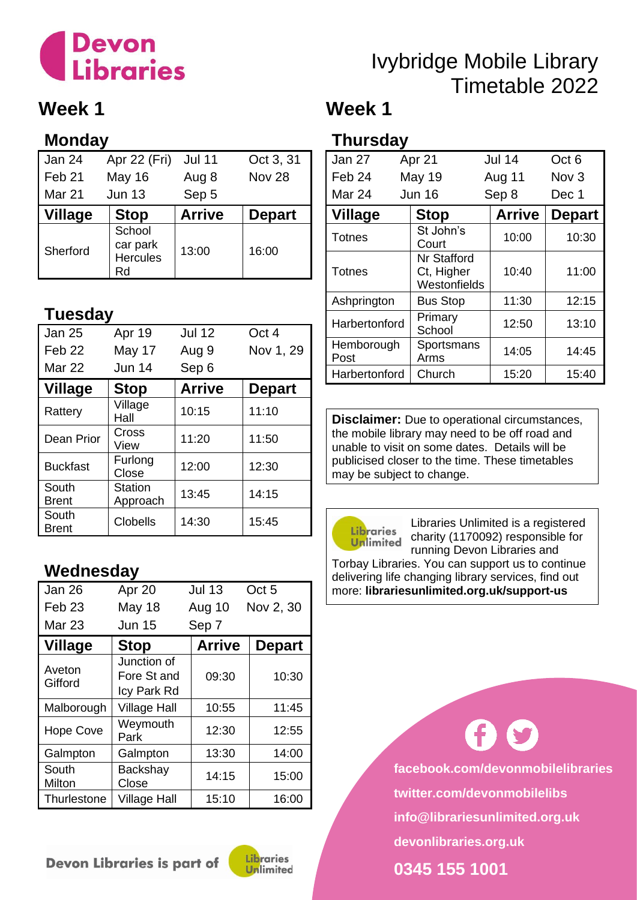# **Devon<br>Libraries**

### **Week 1**

### **Monday**

| Jan 24            | Apr 22 (Fri)                                | <b>Jul 11</b> | Oct 3, 31     |
|-------------------|---------------------------------------------|---------------|---------------|
| Feb <sub>21</sub> | <b>May 16</b>                               | Aug 8         | <b>Nov 28</b> |
| Mar 21            | <b>Jun 13</b>                               | Sep 5         |               |
| <b>Village</b>    | <b>Stop</b>                                 | <b>Arrive</b> | <b>Depart</b> |
| Sherford          | School<br>car park<br><b>Hercules</b><br>Rd | 13:00         | 16:00         |

### **Tuesday**

| <b>Jan 25</b>         | Apr 19              | <b>Jul 12</b> | Oct 4         |
|-----------------------|---------------------|---------------|---------------|
| Feb <sub>22</sub>     | May 17              | Aug 9         | Nov 1, 29     |
| Mar 22                | <b>Jun 14</b>       | Sep 6         |               |
| <b>Village</b>        | <b>Stop</b>         | <b>Arrive</b> | <b>Depart</b> |
| Rattery               | Village<br>Hall     | 10:15         | 11:10         |
| Dean Prior            | Cross<br>View       | 11:20         | 11:50         |
| <b>Buckfast</b>       | Furlong<br>Close    | 12:00         | 12:30         |
| South<br><b>Brent</b> | Station<br>Approach | 13:45         | 14:15         |
| South<br><b>Brent</b> | <b>Clobells</b>     | 14:30         | 15:45         |

### **Wednesday**

| Jan 26            | Apr 20                                    | <b>Jul 13</b> | Oct <sub>5</sub> |
|-------------------|-------------------------------------------|---------------|------------------|
| Feb <sub>23</sub> | May 18                                    | Aug 10        | Nov 2, 30        |
| <b>Mar 23</b>     | <b>Jun 15</b>                             | Sep 7         |                  |
| <b>Village</b>    | <b>Stop</b>                               | <b>Arrive</b> | <b>Depart</b>    |
| Aveton<br>Gifford | Junction of<br>Fore St and<br>Icy Park Rd | 09:30         | 10:30            |
| Malborough        | <b>Village Hall</b>                       | 10:55         | 11:45            |
| <b>Hope Cove</b>  | Weymouth<br>Park                          | 12:30         | 12:55            |
| Galmpton          | Galmpton                                  | 13:30         | 14:00            |
| South<br>Milton   | Backshay<br>Close                         | 14:15         | 15:00            |
| Thurlestone       | <b>Village Hall</b>                       | 15:10         | 16:00            |

#### Devon Libraries is part of



### Ivybridge Mobile Library Timetable 2022

### **Week 1**

### **Thursday**

| Jan 27             | Apr 21                                           | <b>Jul 14</b> | Oct <sub>6</sub> |
|--------------------|--------------------------------------------------|---------------|------------------|
| Feb <sub>24</sub>  | May 19                                           | Aug 11        | Nov <sub>3</sub> |
| Mar 24             | <b>Jun 16</b>                                    | Sep 8         | Dec 1            |
| <b>Village</b>     | <b>Stop</b>                                      | <b>Arrive</b> | <b>Depart</b>    |
| <b>Totnes</b>      | St John's<br>Court                               | 10:00         | 10:30            |
| <b>Totnes</b>      | <b>Nr Stafford</b><br>Ct, Higher<br>Westonfields | 10:40         | 11:00            |
| Ashprington        | <b>Bus Stop</b>                                  | 11:30         | 12:15            |
| Harbertonford      | Primary<br>School                                | 12:50         | 13:10            |
| Hemborough<br>Post | Sportsmans<br>Arms                               | 14:05         | 14:45            |
| Harbertonford      | Church                                           | 15:20         | 15:40            |

**Disclaimer:** Due to operational circumstances, the mobile library may need to be off road and unable to visit on some dates. Details will be publicised closer to the time. These timetables may be subject to change.



Libraries Unlimited is a registered charity (1170092) responsible for running Devon Libraries and

Torbay Libraries. You can support us to continue delivering life changing library services, find out more: **librariesunlimited.org.uk/support-us**

> **facebook.com/devonmobilelibraries twitter.com/devonmobilelibs info@librariesunlimited.org.uk devonlibraries.org.uk**

**0345 155 1001**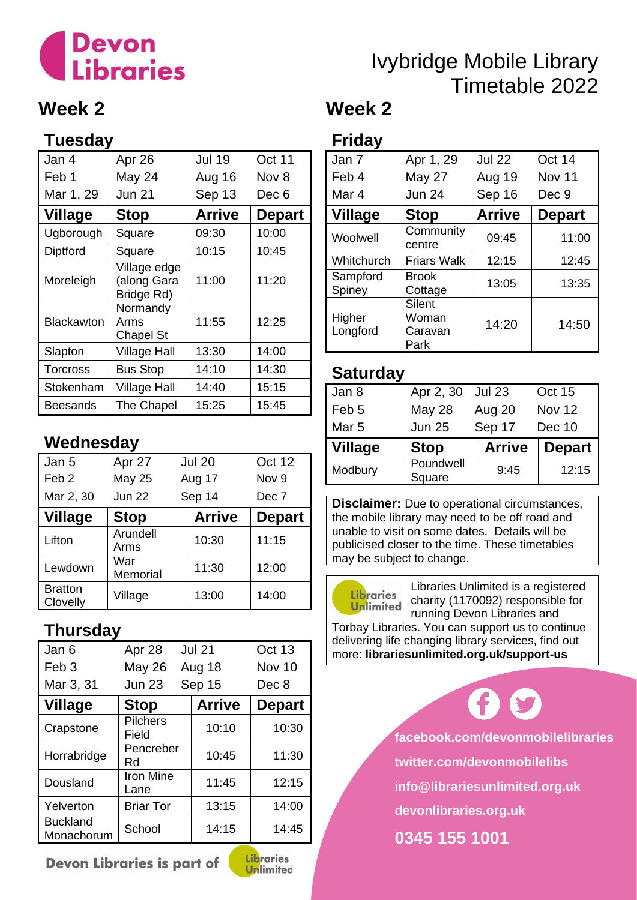# **Devon<br>Libraries**

### **Week 2**

### **Tuesday**

| Jan 4           | Apr 26                                    | <b>Jul 19</b> | Oct 11        |
|-----------------|-------------------------------------------|---------------|---------------|
| Feb 1           | May 24                                    | Aug 16        | Nov 8         |
| Mar 1, 29       | <b>Jun 21</b>                             | Sep 13        | Dec 6         |
| <b>Village</b>  | <b>Stop</b>                               | <b>Arrive</b> | <b>Depart</b> |
| Ugborough       | Square                                    | 09:30         | 10:00         |
| Diptford        | Square                                    | 10:15         | 10:45         |
| Moreleigh       | Village edge<br>(along Gara<br>Bridge Rd) | 11:00         | 11:20         |
| Blackawton      | Normandy<br>Arms<br><b>Chapel St</b>      | 11:55         | 12:25         |
| Slapton         | <b>Village Hall</b>                       | 13:30         | 14:00         |
| <b>Torcross</b> | <b>Bus Stop</b>                           | 14:10         | 14:30         |
| Stokenham       | Village Hall                              | 14:40         | 15:15         |
| Beesands        | The Chapel                                | 15:25         | 15:45         |

### **Wednesday**

| Jan 5                      | Apr 27           | <b>Jul 20</b> | <b>Oct 12</b>    |
|----------------------------|------------------|---------------|------------------|
| Feb <sub>2</sub>           | <b>May 25</b>    | Aug 17        | Nov <sub>9</sub> |
| Mar 2, 30                  | <b>Jun 22</b>    | Sep 14        | Dec 7            |
| <b>Village</b>             | <b>Stop</b>      | <b>Arrive</b> | <b>Depart</b>    |
| Lifton                     | Arundell<br>Arms | 10:30         | 11:15            |
| Lewdown                    | War<br>Memorial  | 11:30         | 12:00            |
| <b>Bratton</b><br>Clovelly | Village          | 13:00         | 14:00            |

### **Thursday**

| Jan 6                         | Apr 28                   | <b>Jul 21</b> | <b>Oct 13</b> |
|-------------------------------|--------------------------|---------------|---------------|
| Feb <sub>3</sub>              | <b>May 26</b>            | Aug 18        | Nov 10        |
| Mar 3, 31                     | <b>Jun 23</b>            | Sep 15        | Dec 8         |
| <b>Village</b>                | <b>Stop</b>              | <b>Arrive</b> | <b>Depart</b> |
| Crapstone                     | <b>Pilchers</b><br>Field | 10:10         | 10:30         |
| Horrabridge                   | Pencreber<br>Rd          | 10:45         | 11:30         |
| Dousland                      | <b>Iron Mine</b><br>Lane | 11:45         | 12:15         |
| Yelverton                     | <b>Briar Tor</b>         | 13:15         | 14:00         |
| <b>Buckland</b><br>Monachorum | School                   | 14:15         | 14:45         |

Devon Libraries is part of



**Unlimited** 

### **Friday**

| Jan 7              | Apr 1, 29                          | <b>Jul 22</b> | Oct 14        |
|--------------------|------------------------------------|---------------|---------------|
| Feb 4              | <b>May 27</b>                      | Aug 19        | <b>Nov 11</b> |
| Mar 4              | <b>Jun 24</b>                      | Sep 16        | Dec 9         |
| <b>Village</b>     | <b>Stop</b>                        | <b>Arrive</b> | <b>Depart</b> |
| Woolwell           | Community<br>centre                | 09:45         | 11:00         |
| Whitchurch         | <b>Friars Walk</b>                 | 12:15         | 12:45         |
| Sampford<br>Spiney | <b>Brook</b><br>Cottage            | 13:05         | 13:35         |
| Higher<br>Longford | Silent<br>Woman<br>Caravan<br>Park | 14:20         | 14:50         |

Ivybridge Mobile Library

Timetable 2022

### **Saturday**

| Apr 2, 30           | <b>Jul 23</b> | Oct 15        |
|---------------------|---------------|---------------|
| <b>May 28</b>       | Aug 20        | Nov 12        |
| <b>Jun 25</b>       | Sep 17        | Dec 10        |
| <b>Stop</b>         | <b>Arrive</b> | <b>Depart</b> |
| Poundwell<br>Square | 9:45          | 12:15         |
|                     |               |               |

**Disclaimer:** Due to operational circumstances, the mobile library may need to be off road and unable to visit on some dates. Details will be publicised closer to the time. These timetables may be subject to change.



Libraries Unlimited is a registered charity (1170092) responsible for running Devon Libraries and

Torbay Libraries. You can support us to continue delivering life changing library services, find out more: **librariesunlimited.org.uk/support-us**

**facebook.com/devonmobilelibraries**

**twitter.com/devonmobilelibs**

**info@librariesunlimited.org.uk**

**devonlibraries.org.uk**

**0345 155 1001**

### **Week 2**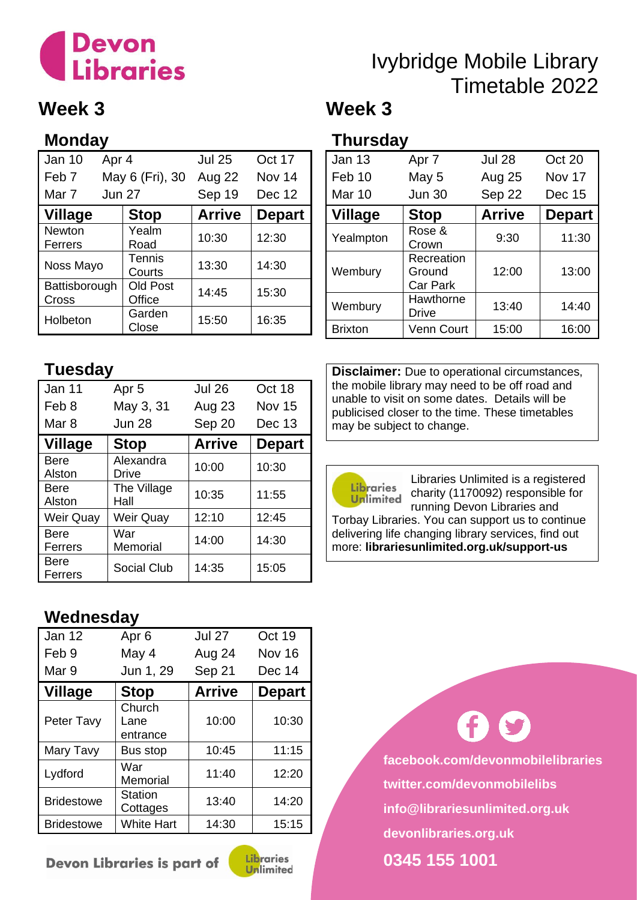# **Devon<br>Libraries**

### Ivybridge Mobile Library Timetable 2022 **Week 3**

### **Week 3**

### **Monday**

| <b>Jan 10</b>          | Apr 4         |                           | <b>Jul 25</b> | Oct 17        |
|------------------------|---------------|---------------------------|---------------|---------------|
| Feb <sub>7</sub>       |               | May 6 (Fri), 30           | Aug 22        | Nov 14        |
| Mar 7                  | <b>Jun 27</b> |                           | Sep 19        | Dec 12        |
| <b>Village</b>         |               | <b>Stop</b>               | <b>Arrive</b> | <b>Depart</b> |
| Newton<br>Ferrers      |               | Yealm<br>Road             | 10:30         | 12:30         |
| Noss Mayo              |               | <b>Tennis</b><br>Courts   | 13:30         | 14:30         |
| Battisborough<br>Cross |               | <b>Old Post</b><br>Office | 14:45         | 15:30         |
| Holbeton               |               | Garden<br>Close           | 15:50         | 16:35         |

### **Thursday**

| I HUI SUAY     |                                         |               |               |
|----------------|-----------------------------------------|---------------|---------------|
| Jan 13         | Apr <sub>7</sub>                        | <b>Jul 28</b> | Oct 20        |
| Feb 10         | May 5                                   | Aug 25        | Nov 17        |
| <b>Mar 10</b>  | <b>Jun 30</b>                           | Sep 22        | Dec 15        |
| <b>Village</b> | <b>Stop</b>                             | <b>Arrive</b> | <b>Depart</b> |
| Yealmpton      | Rose &<br>Crown                         | 9:30          | 11:30         |
| Wembury        | Recreation<br>Ground<br><b>Car Park</b> | 12:00         | 13:00         |
| Wembury        | Hawthorne<br>Drive                      | 13:40         | 14:40         |
| <b>Brixton</b> | <b>Venn Court</b>                       | 15:00         | 16:00         |

### **Tuesday**

| Jan 11                | Apr <sub>5</sub>          | <b>Jul 26</b> | Oct 18        |
|-----------------------|---------------------------|---------------|---------------|
| Feb 8                 | May 3, 31                 | Aug 23        | <b>Nov 15</b> |
| Mar 8                 | <b>Jun 28</b>             | Sep 20        | Dec 13        |
| <b>Village</b>        | <b>Stop</b>               | <b>Arrive</b> | <b>Depart</b> |
| <b>Bere</b><br>Alston | Alexandra<br><b>Drive</b> | 10:00         | 10:30         |
| Bere<br>Alston        | The Village<br>Hall       | 10:35         | 11:55         |
| Weir Quay             | Weir Quay                 | 12:10         | 12:45         |
| Bere<br>Ferrers       | War<br>Memorial           | 14:00         | 14:30         |
| Bere<br>Ferrers       | <b>Social Club</b>        | 14:35         | 15:05         |

### **Wednesday**

| Jan 12            | Apr <sub>6</sub>           | <b>Jul 27</b> | Oct 19        |
|-------------------|----------------------------|---------------|---------------|
| Feb 9             | May 4                      | Aug 24        | <b>Nov 16</b> |
| Mar 9             | Jun 1, 29                  | Sep 21        | Dec 14        |
| <b>Village</b>    | <b>Stop</b>                | <b>Arrive</b> | <b>Depart</b> |
| Peter Tavy        | Church<br>Lane<br>entrance | 10:00         | 10:30         |
| Mary Tavy         | Bus stop                   | 10:45         | 11:15         |
| Lydford           | War<br>Memorial            | 11:40         | 12:20         |
| <b>Bridestowe</b> | <b>Station</b><br>Cottages | 13:40         | 14:20         |
| <b>Bridestowe</b> | <b>White Hart</b>          | 14:30         | 15:15         |

Devon Libraries is part of



**Disclaimer:** Due to operational circumstances, the mobile library may need to be off road and unable to visit on some dates. Details will be publicised closer to the time. These timetables may be subject to change.



Libraries Unlimited is a registered charity (1170092) responsible for running Devon Libraries and

Torbay Libraries. You can support us to continue delivering life changing library services, find out more: **librariesunlimited.org.uk/support-us**